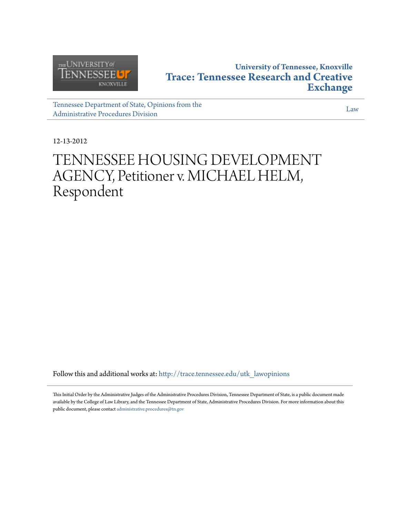

## **University of Tennessee, Knoxville [Trace: Tennessee Research and Creative](http://trace.tennessee.edu?utm_source=trace.tennessee.edu%2Futk_lawopinions%2F5462&utm_medium=PDF&utm_campaign=PDFCoverPages) [Exchange](http://trace.tennessee.edu?utm_source=trace.tennessee.edu%2Futk_lawopinions%2F5462&utm_medium=PDF&utm_campaign=PDFCoverPages)**

[Tennessee Department of State, Opinions from the](http://trace.tennessee.edu/utk_lawopinions?utm_source=trace.tennessee.edu%2Futk_lawopinions%2F5462&utm_medium=PDF&utm_campaign=PDFCoverPages) [Administrative Procedures Division](http://trace.tennessee.edu/utk_lawopinions?utm_source=trace.tennessee.edu%2Futk_lawopinions%2F5462&utm_medium=PDF&utm_campaign=PDFCoverPages)

[Law](http://trace.tennessee.edu/utk-law?utm_source=trace.tennessee.edu%2Futk_lawopinions%2F5462&utm_medium=PDF&utm_campaign=PDFCoverPages)

12-13-2012

# TENNESSEE HOUSING DEVELOPMENT AGENCY, Petitioner v. MICHAEL HELM, Respondent

Follow this and additional works at: [http://trace.tennessee.edu/utk\\_lawopinions](http://trace.tennessee.edu/utk_lawopinions?utm_source=trace.tennessee.edu%2Futk_lawopinions%2F5462&utm_medium=PDF&utm_campaign=PDFCoverPages)

This Initial Order by the Administrative Judges of the Administrative Procedures Division, Tennessee Department of State, is a public document made available by the College of Law Library, and the Tennessee Department of State, Administrative Procedures Division. For more information about this public document, please contact [administrative.procedures@tn.gov](mailto:administrative.procedures@tn.gov)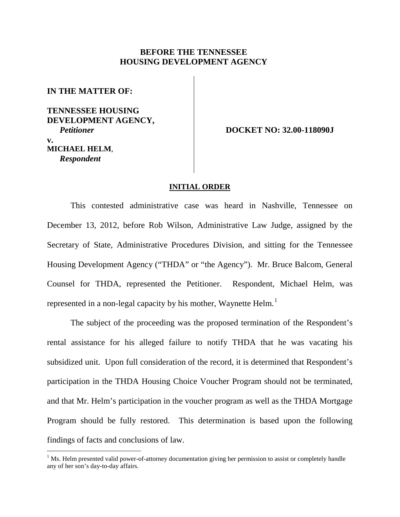## **BEFORE THE TENNESSEE HOUSING DEVELOPMENT AGENCY**

**IN THE MATTER OF:**

## **TENNESSEE HOUSING DEVELOPMENT AGENCY,** *Petitioner* **v. MICHAEL HELM**, *Respondent*

 **DOCKET NO: 32.00-118090J**

### **INITIAL ORDER**

This contested administrative case was heard in Nashville, Tennessee on December 13, 2012, before Rob Wilson, Administrative Law Judge, assigned by the Secretary of State, Administrative Procedures Division, and sitting for the Tennessee Housing Development Agency ("THDA" or "the Agency"). Mr. Bruce Balcom, General Counsel for THDA, represented the Petitioner. Respondent, Michael Helm, was represented in a non-legal capacity by his mother, Waynette Helm.<sup>[1](#page-1-0)</sup>

The subject of the proceeding was the proposed termination of the Respondent's rental assistance for his alleged failure to notify THDA that he was vacating his subsidized unit. Upon full consideration of the record, it is determined that Respondent's participation in the THDA Housing Choice Voucher Program should not be terminated, and that Mr. Helm's participation in the voucher program as well as the THDA Mortgage Program should be fully restored. This determination is based upon the following findings of facts and conclusions of law.

<span id="page-1-0"></span> $<sup>1</sup>$  Ms. Helm presented valid power-of-attorney documentation giving her permission to assist or completely handle</sup> any of her son's day-to-day affairs.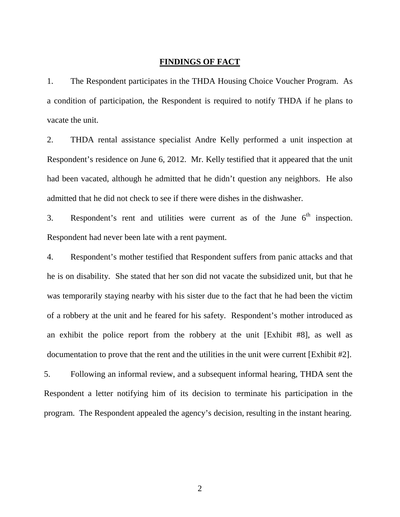### **FINDINGS OF FACT**

1. The Respondent participates in the THDA Housing Choice Voucher Program. As a condition of participation, the Respondent is required to notify THDA if he plans to vacate the unit.

2. THDA rental assistance specialist Andre Kelly performed a unit inspection at Respondent's residence on June 6, 2012. Mr. Kelly testified that it appeared that the unit had been vacated, although he admitted that he didn't question any neighbors. He also admitted that he did not check to see if there were dishes in the dishwasher.

3. Respondent's rent and utilities were current as of the June  $6<sup>th</sup>$  inspection. Respondent had never been late with a rent payment.

4. Respondent's mother testified that Respondent suffers from panic attacks and that he is on disability. She stated that her son did not vacate the subsidized unit, but that he was temporarily staying nearby with his sister due to the fact that he had been the victim of a robbery at the unit and he feared for his safety. Respondent's mother introduced as an exhibit the police report from the robbery at the unit [Exhibit #8], as well as documentation to prove that the rent and the utilities in the unit were current [Exhibit #2].

5. Following an informal review, and a subsequent informal hearing, THDA sent the Respondent a letter notifying him of its decision to terminate his participation in the program. The Respondent appealed the agency's decision, resulting in the instant hearing.

2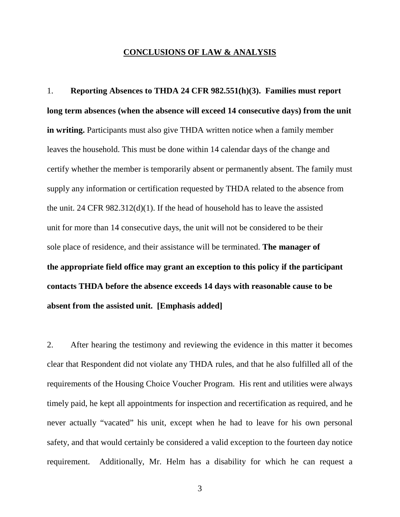#### **CONCLUSIONS OF LAW & ANALYSIS**

1. **Reporting Absences to THDA 24 CFR 982.551(h)(3). Families must report long term absences (when the absence will exceed 14 consecutive days) from the unit in writing.** Participants must also give THDA written notice when a family member leaves the household. This must be done within 14 calendar days of the change and certify whether the member is temporarily absent or permanently absent. The family must supply any information or certification requested by THDA related to the absence from the unit. 24 CFR 982.312(d)(1). If the head of household has to leave the assisted unit for more than 14 consecutive days, the unit will not be considered to be their sole place of residence, and their assistance will be terminated. **The manager of the appropriate field office may grant an exception to this policy if the participant contacts THDA before the absence exceeds 14 days with reasonable cause to be absent from the assisted unit. [Emphasis added]**

2. After hearing the testimony and reviewing the evidence in this matter it becomes clear that Respondent did not violate any THDA rules, and that he also fulfilled all of the requirements of the Housing Choice Voucher Program. His rent and utilities were always timely paid, he kept all appointments for inspection and recertification as required, and he never actually "vacated" his unit, except when he had to leave for his own personal safety, and that would certainly be considered a valid exception to the fourteen day notice requirement. Additionally, Mr. Helm has a disability for which he can request a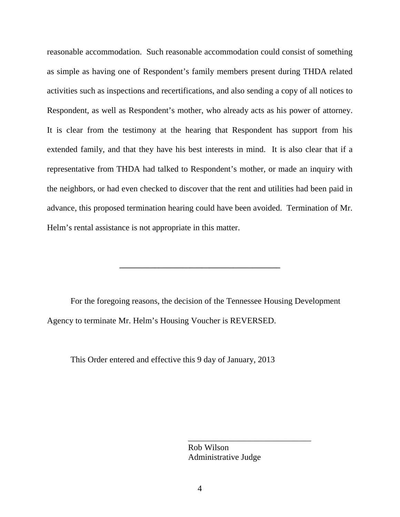reasonable accommodation. Such reasonable accommodation could consist of something as simple as having one of Respondent's family members present during THDA related activities such as inspections and recertifications, and also sending a copy of all notices to Respondent, as well as Respondent's mother, who already acts as his power of attorney. It is clear from the testimony at the hearing that Respondent has support from his extended family, and that they have his best interests in mind. It is also clear that if a representative from THDA had talked to Respondent's mother, or made an inquiry with the neighbors, or had even checked to discover that the rent and utilities had been paid in advance, this proposed termination hearing could have been avoided. Termination of Mr. Helm's rental assistance is not appropriate in this matter.

For the foregoing reasons, the decision of the Tennessee Housing Development Agency to terminate Mr. Helm's Housing Voucher is REVERSED.

**\_\_\_\_\_\_\_\_\_\_\_\_\_\_\_\_\_\_\_\_\_\_\_\_\_\_\_\_\_\_\_\_\_\_\_\_\_\_\_\_\_**

This Order entered and effective this 9 day of January, 2013

Rob Wilson Administrative Judge

\_\_\_\_\_\_\_\_\_\_\_\_\_\_\_\_\_\_\_\_\_\_\_\_\_\_\_\_\_